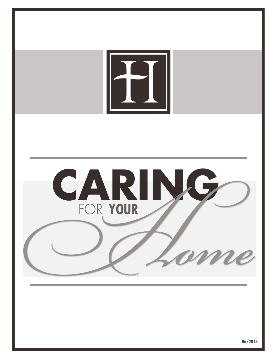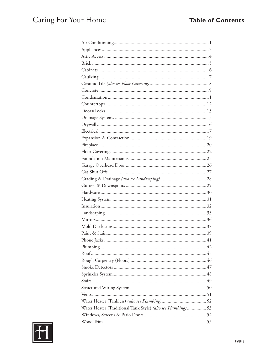| Water Heater (Traditional Tank Style) (also see Plumbing) 53 |
|--------------------------------------------------------------|
|                                                              |
|                                                              |

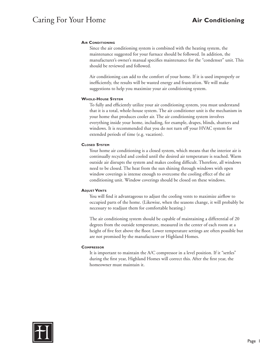# **AIR CONDITIONING**

Since the air conditioning system is combined with the heating system, the maintenance suggested for your furnace should be followed. In addition, the manufacturer's owner's manual specifies maintenance for the "condenser" unit. This should be reviewed and followed.

Air conditioning can add to the comfort of your home. If it is used improperly or inefficiently, the results will be wasted energy and frustration. We will make suggestions to help you maximize your air conditioning system.

### **Whole-House System**

To fully and efficiently utilize your air conditioning system, you must understand that it is a total, whole-house system. The air conditioner unit is the mechanism in your home that produces cooler air. The air conditioning system involves everything inside your home, including, for example, drapes, blinds, shutters and windows. It is recommended that you do not turn off your HVAC system for extended periods of time (e.g. vacation).

### **Closed System**

Your home air conditioning is a closed system, which means that the interior air is continually recycled and cooled until the desired air temperature is reached. Warm outside air disrupts the system and makes cooling difficult. Therefore, all windows need to be closed. The heat from the sun shining through windows with open window coverings is intense enough to overcome the cooling effect of the air conditioning unit. Window coverings should be closed on these windows.

#### **ADJUST VENTS**

You will find it advantageous to adjust the cooling vents to maximize airflow to occupied parts of the home. (Likewise, when the seasons change, it will probably be necessary to readjust them for comfortable heating.)

The air conditioning system should be capable of maintaining a differential of 20 degrees from the outside temperature, measured in the center of each room at a height of five feet above the floor. Lower temperature settings are often possible but are not promised by the manufacturer or Highland Homes.

#### **Compressor**

It is important to maintain the A/C compressor in a level position. If it "settles" during the first year, Highland Homes will correct this. After the first year, the homeowner must maintain it.

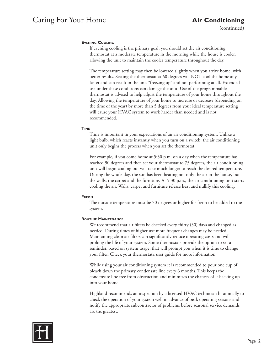(continued)

# **Evening Cooling**

If evening cooling is the primary goal, you should set the air conditioning thermostat at a moderate temperature in the morning while the house is cooler, allowing the unit to maintain the cooler temperature throughout the day.

The temperature setting may then be lowered slightly when you arrive home, with better results. Setting the thermostat at 60 degrees will NOT cool the home any faster and can result in the unit "freezing up" and not performing at all. Extended use under these conditions can damage the unit. Use of the programmable thermostat is advised to help adjust the temperature of your home throughout the day. Allowing the temperature of your home to increase or decrease (depending on the time of the year) by more than 5 degrees from your ideal temperature setting will cause your HVAC system to work harder than needed and is not recommended.

# **Time**

Time is important in your expectations of an air conditioning system. Unlike a light bulb, which reacts instantly when you turn on a switch, the air conditioning unit only begins the process when you set the thermostat.

For example, if you come home at 5:30 p.m. on a day when the temperature has reached 90 degrees and then set your thermostat to 75 degrees, the air conditioning unit will begin cooling but will take much longer to reach the desired temperature. During the whole day, the sun has been heating not only the air in the house, but the walls, the carpet and the furniture. At 5:30 p.m., the air conditioning unit starts cooling the air. Walls, carpet and furniture release heat and nullify this cooling.

# **Freon**

The outside temperature must be 70 degrees or higher for freon to be added to the system.

# **Routine Maintenance**

We recommend that air filters be checked every thirty (30) days and changed as needed. During times of higher use more frequent changes may be needed. Maintaining clean air filters can significantly reduce operating costs and will prolong the life of your system. Some thermostats provide the option to set a reminder, based on system usage, that will prompt you when it is time to change your filter. Check your thermostat's user guide for more information.

While using your air conditioning system it is recommended to pour one cup of bleach down the primary condensate line every 6 months. This keeps the condensate line free from obstruction and minimizes the chances of it backing up into your home.

Highland recommends an inspection by a licensed HVAC technician bi-annually to check the operation of your system well in advance of peak operating seasons and notify the appropriate subcontractor of problems before seasonal service demands are the greatest.

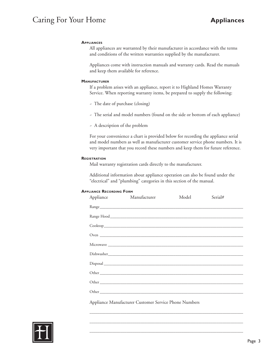# Caring For Your Home

### **APPLIANCES**

All appliances are warranted by their manufacturer in accordance with the terms and conditions of the written warranties supplied by the manufacturer.

Appliances come with instruction manuals and warranty cards. Read the manuals and keep them available for reference.

### **MANUFACTURER**

If a problem arises with an appliance, report it to Highland Homes Warranty Service. When reporting warranty items, be prepared to supply the following:

- The date of purchase (closing)
- The serial and model numbers (found on the side or bottom of each appliance)
- A description of the problem

For your convenience a chart is provided below for recording the appliance serial and model numbers as well as manufacturer customer service phone numbers. It is very important that you record these numbers and keep them for future reference.

#### **REGISTRATION**

Mail warranty registration cards directly to the manufacturer.

Additional information about appliance operation can also be found under the "electrical" and "plumbing" categories in this section of the manual.

# **APPLIANCE RECORDING FORM**

| Appliance Manufacturer                                | Model | Serial# |
|-------------------------------------------------------|-------|---------|
|                                                       |       |         |
|                                                       |       |         |
|                                                       |       |         |
|                                                       |       |         |
|                                                       |       |         |
|                                                       |       |         |
|                                                       |       |         |
|                                                       |       |         |
|                                                       |       |         |
|                                                       |       |         |
| Appliance Manufacturer Customer Service Phone Numbers |       |         |

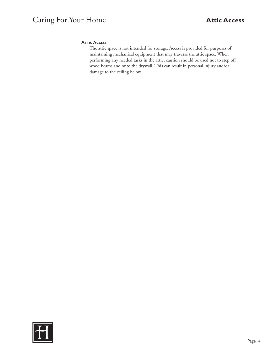# **ATTIC ACCESS**

The attic space is not intended for storage. Access is provided for purposes of maintaining mechanical equipment that may traverse the attic space. When performing any needed tasks in the attic, caution should be used not to step off wood beams and onto the drywall. This can result in personal injury and/or damage to the ceiling below.

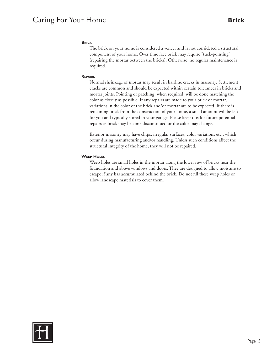# Caring For Your Home **Brick**

### **Brick**

The brick on your home is considered a veneer and is not considered a structural component of your home. Over time face brick may require "tuck-pointing" (repairing the mortar between the bricks). Otherwise, no regular maintenance is required.

#### **Repairs**

Normal shrinkage of mortar may result in hairline cracks in masonry. Settlement cracks are common and should be expected within certain tolerances in bricks and mortar joints. Pointing or patching, when required, will be done matching the color as closely as possible. If any repairs are made to your brick or mortar, variations in the color of the brick and/or mortar are to be expected. If there is remaining brick from the construction of your home, a small amount will be left for you and typically stored in your garage. Please keep this for future potential repairs as brick may become discontinued or the color may change.

Exterior masonry may have chips, irregular surfaces, color variations etc., which occur during manufacturing and/or handling. Unless such conditions affect the structural integrity of the home, they will not be repaired.

#### **Weep Holes**

Weep holes are small holes in the mortar along the lower row of bricks near the foundation and above windows and doors. They are designed to allow moisture to escape if any has accumulated behind the brick. Do not fill these weep holes or allow landscape materials to cover them.

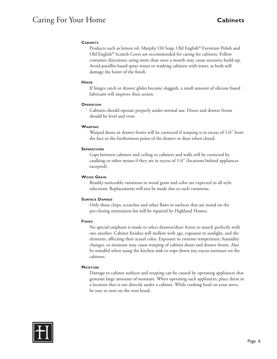# Caring For Your Home **Cabinets**

# **Cabinets**

Products such as lemon oil, Murphy Oil Soap, Old English® Furniture Polish and Old English® Scratch Cover are recommended for caring for cabinets. Follow container directions; using more than once a month may cause excessive build-up. Avoid paraffin-based spray waxes or washing cabinets with water, as both will damage the luster of the finish.

#### **Hinge**

If hinges catch or drawer glides become sluggish, a small amount of silicone based lubricant will improve their action.

#### **OPERATION**

Cabinets should operate properly under normal use. Doors and drawer fronts should be level and even.

### **Warping**

Warped doors or drawer fronts will be corrected if warping is in excess of 1/4" from the face to the furthermost point of the drawer or door when closed.

### **SEPARATIONS**

Gaps between cabinets and ceiling or cabinets and walls will be corrected by caulking or other means if they are in excess of 1/4" (locations behind appliances excepted).

#### **Wood Grain**

Readily noticeable variations in wood grain and color are expected in all style selections. Replacements will not be made due to such variations.

#### **Surface Damage**

Only those chips, scratches and other flaws in surfaces that are noted on the pre-closing orientation list will be repaired by Highland Homes.

# **Finish**

No special emphasis is made to select drawers/door fronts to match perfectly with one another. Cabinet finishes will mellow with age, exposure to sunlight, and the elements, affecting their actual color. Exposure to extreme temperature, humidity changes, or moisture may cause warping of cabinet doors and drawer fronts. Also be mindful when using the kitchen sink to wipe down any excess moisture on the cabinets.

# **Moisture**

Damage to cabinet surfaces and warping can be caused by operating appliances that generate large amounts of moisture. When operating such appliances, place them in a location that is not directly under a cabinet. While cooking food on your stove, be sure to turn on the vent hood.

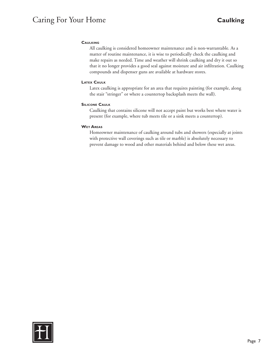# Caring For Your Home **Caulking**

# **CAULKING**

All caulking is considered homeowner maintenance and is non-warrantable. As a matter of routine maintenance, it is wise to periodically check the caulking and make repairs as needed. Time and weather will shrink caulking and dry it out so that it no longer provides a good seal against moisture and air infiltration. Caulking compounds and dispenser guns are available at hardware stores.

### **Latex Caulk**

Latex caulking is appropriate for an area that requires painting (for example, along the stair "stringer" or where a countertop backsplash meets the wall).

### **Silicone Caulk**

Caulking that contains silicone will not accept paint but works best where water is present (for example, where tub meets tile or a sink meets a countertop).

### **Wet Areas**

Homeowner maintenance of caulking around tubs and showers (especially at joints with protective wall coverings such as tile or marble) is absolutely necessary to prevent damage to wood and other materials behind and below these wet areas.

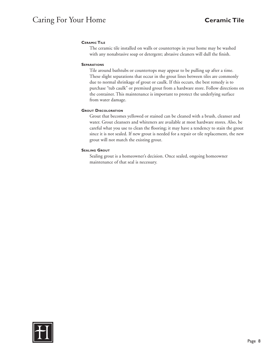# Caring For Your Home **Ceramic Tile**

# **Ceramic Tile**

The ceramic tile installed on walls or countertops in your home may be washed with any nonabrasive soap or detergent; abrasive cleaners will dull the finish.

### **Separations**

Tile around bathtubs or countertops may appear to be pulling up after a time. These slight separations that occur in the grout lines between tiles are commonly due to normal shrinkage of grout or caulk. If this occurs, the best remedy is to purchase "tub caulk" or premixed grout from a hardware store. Follow directions on the container. This maintenance is important to protect the underlying surface from water damage.

# **Grout Discoloration**

Grout that becomes yellowed or stained can be cleaned with a brush, cleanser and water. Grout cleansers and whiteners are available at most hardware stores. Also, be careful what you use to clean the flooring; it may have a tendency to stain the grout since it is not sealed. If new grout is needed for a repair or tile replacement, the new grout will not match the existing grout.

### **Sealing Grout**

Sealing grout is a homeowner's decision. Once sealed, ongoing homeowner maintenance of that seal is necessary.

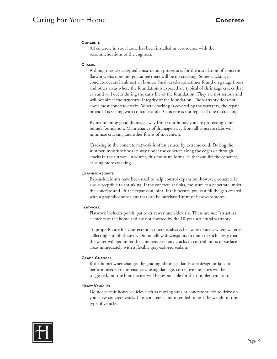# Caring For Your Home **Concrete**

# **Concrete**

All concrete in your home has been installed in accordance with the recommendations of the engineer.

#### **Cracks**

Although we use accepted construction procedures for the installation of concrete flatwork, this does not guarantee there will be no cracking. Some cracking in concrete occurs in almost all homes. Small cracks sometimes found on garage floors and other areas where the foundation is exposed are typical of shrinkage cracks that can and will occur during the early life of the foundation. They are not serious and will not affect the structural integrity of the foundation. The warranty does not cover most concrete cracks. Where cracking is covered by the warranty, the repair provided is sealing with concrete caulk. Concrete is not replaced due to cracking.

By maintaining good drainage away from your home, you are protecting your home's foundation. Maintenance of drainage away from all concrete slabs will minimize cracking and other forms of movement.

Cracking in the concrete flatwork is often caused by extreme cold. During the summer, moisture finds its way under the concrete along the edges or through cracks in the surface. In winter, this moisture forms ice that can lift the concrete, causing more cracking.

#### **Expansion Joints**

Expansion joints have been used to help control expansion; however, concrete is also susceptible to shrinking. If the concrete shrinks, moisture can penetrate under the concrete and lift the expansion joint. If this occurs, you can fill the gap created with a gray silicone sealant that can be purchased at most hardware stores.

#### **Flatwork**

Flatwork includes porch, patio, driveway and sidewalk. These are not "structural" elements of the home and are not covered by the 10-year structural warranty.

To properly care for your exterior concrete, always be aware of areas where water is collecting and fill these in. Do not allow downspouts to drain in such a way that the water will get under the concrete. Seal any cracks in control joints or surface areas immediately with a flexible gray-colored sealant.

#### **Grade Changes**

If the homeowner changes the grading, drainage, landscape design or fails to perform needed maintenance causing damage, corrective measures will be suggested, but the homeowner will be responsible for their implementation.

#### **Heavy Vehicles**

Do not permit heavy vehicles such as moving vans or concrete trucks to drive on your new concrete work. This concrete is not intended to bear the weight of this type of vehicle.

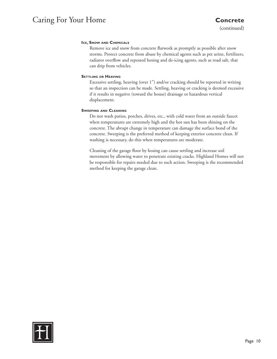# Caring For Your Home **Concrete**

(continued)

# **Ice, Snow and Chemicals**

Remove ice and snow from concrete flatwork as promptly as possible after snow storms. Protect concrete from abuse by chemical agents such as pet urine, fertilizers, radiator overflow and repeated hosing and de-icing agents, such as road salt, that can drip from vehicles.

### **Settling or Heaving**

Excessive settling, heaving (over 1") and/or cracking should be reported in writing so that an inspection can be made. Settling, heaving or cracking is deemed excessive if it results in negative (toward the house) drainage or hazardous vertical displacement.

### **Sweeping and Cleaning**

Do not wash patios, porches, drives, etc., with cold water from an outside faucet when temperatures are extremely high and the hot sun has been shining on the concrete. The abrupt change in temperature can damage the surface bond of the concrete. Sweeping is the preferred method of keeping exterior concrete clean. If washing is necessary, do this when temperatures are moderate.

Cleaning of the garage floor by hosing can cause settling and increase soil movement by allowing water to penetrate existing cracks. Highland Homes will not be responsible for repairs needed due to such action. Sweeping is the recommended method for keeping the garage clean.

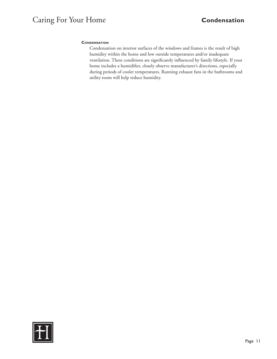# **Condensation**

Condensation on interior surfaces of the windows and frames is the result of high humidity within the home and low outside temperatures and/or inadequate ventilation. These conditions are significantly influenced by family lifestyle. If your home includes a humidifier, closely observe manufacturer's directions, especially during periods of cooler temperatures. Running exhaust fans in the bathrooms and utility room will help reduce humidity.

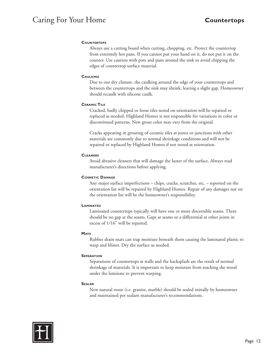# Caring For Your Home **Countertops**

# **Countertops**

Always use a cutting board when cutting, chopping, etc. Protect the countertop from extremely hot pans. If you cannot put your hand on it, do not put it on the counter. Use caution with pots and pans around the sink to avoid chipping the edges of countertop surface material.

# **Caulking**

Due to our dry climate, the caulking around the edge of your countertops and between the countertops and the sink may shrink, leaving a slight gap. Homeowner should recaulk with silicone caulk.

# **Ceramic Tile**

Cracked, badly chipped or loose tiles noted on orientation will be repaired or replaced as needed. Highland Homes is not responsible for variations in color or discontinued patterns. New grout color may vary from the original.

Cracks appearing in grouting of ceramic tiles at joints or junctions with other materials are commonly due to normal shrinkage conditions and will not be repaired or replaced by Highland Homes if not noted at orientation.

# **Cleaners**

Avoid abrasive cleaners that will damage the luster of the surface. Always read manufacturer's directions before applying.

# **Cosmetic Damage**

Any major surface imperfections – chips, cracks, scratches, etc. – reported on the orientation list will be repaired by Highland Homes. Repair of any damages not on the orientation list will be the homeowner's responsibility.

# **LAMINATED**

Laminated countertops typically will have one or more discernible seams. There should be no gap at the seams. Gaps at seams or a differential at other joints in excess of 1/16" will be repaired.

# **MATS**

Rubber drain mats can trap moisture beneath them causing the laminated plastic to warp and blister. Dry the surface as needed.

# **SEPARATION**

Separations of countertops at walls and the backsplash are the result of normal shrinkage of materials. It is important to keep moisture from reaching the wood under the laminate to prevent warping.

# **Sealer**

New natural stone (i.e. granite, marble) should be sealed initially by homeowner and maintained per sealant manufacturer's recommendations.

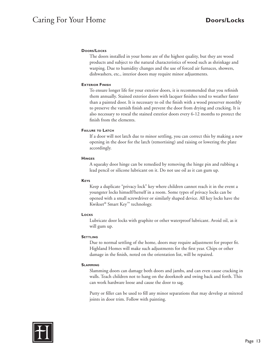# **Doors/Locks**

The doors installed in your home are of the highest quality, but they are wood products and subject to the natural characteristics of wood such as shrinkage and warping. Due to humidity changes and the use of forced air furnaces, showers, dishwashers, etc., interior doors may require minor adjustments.

### **EXTERIOR FINISH**

To ensure longer life for your exterior doors, it is recommended that you refinish them annually. Stained exterior doors with lacquer finishes tend to weather faster than a painted door. It is necessary to oil the finish with a wood preserver monthly to preserve the varnish finish and prevent the door from drying and cracking. It is also necessary to reseal the stained exterior doors every 6-12 months to protect the finish from the elements.

#### **Failure to Latch**

If a door will not latch due to minor settling, you can correct this by making a new opening in the door for the latch (remortising) and raising or lowering the plate accordingly.

#### **Hinges**

A squeaky door hinge can be remedied by removing the hinge pin and rubbing a lead pencil or silicone lubricant on it. Do not use oil as it can gum up.

#### **Keys**

Keep a duplicate "privacy lock" key where children cannot reach it in the event a youngster locks himself/herself in a room. Some types of privacy locks can be opened with a small screwdriver or similarly shaped device. All key locks have the Kwikset® Smart Key™ technology.

### **Locks**

Lubricate door locks with graphite or other waterproof lubricant. Avoid oil, as it will gum up.

#### **SETTLING**

Due to normal settling of the home, doors may require adjustment for proper fit. Highland Homes will make such adjustments for the first year. Chips or other damage in the finish, noted on the orientation list, will be repaired.

#### **Slamming**

Slamming doors can damage both doors and jambs, and can even cause cracking in walls. Teach children not to hang on the doorknob and swing back and forth. This can work hardware loose and cause the door to sag.

Putty or filler can be used to fill any minor separations that may develop at mitered joints in door trim. Follow with painting.

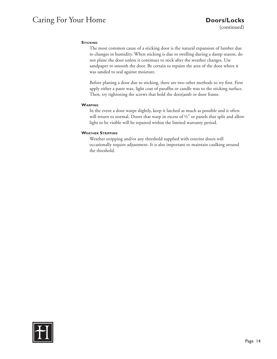# Caring For Your Home **Doors/Locks**

# **STICKING**

The most common cause of a sticking door is the natural expansion of lumber due to changes in humidity. When sticking is due to swelling during a damp season, do not plane the door unless it continues to stick after the weather changes. Use sandpaper to smooth the door. Be certain to repaint the area of the door where it was sanded to seal against moisture.

Before planing a door due to sticking, there are two other methods to try first. First apply either a paste wax, light coat of paraffin or candle wax to the sticking surface. Then, try tightening the screws that hold the doorjamb or door frame.

### **Warping**

In the event a door warps slightly, keep it latched as much as possible and it often will return to normal. Doors that warp in excess of ½" or panels that split and allow light to be visible will be repaired within the limited warranty period.

### **Weather Stripping**

Weather stripping and/or any threshold supplied with exterior doors will occasionally require adjustment. It is also important to maintain caulking around the threshold.

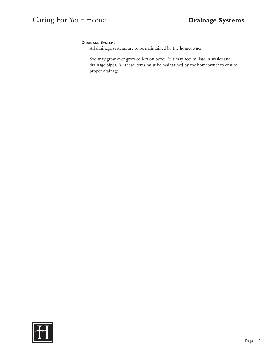# **Drainage Systems**

All drainage systems are to be maintained by the homeowner.

Sod may grow over grow collection boxes. Silt may accumulate in swales and drainage pipes. All these items must be maintained by the homeowner to ensure proper drainage.

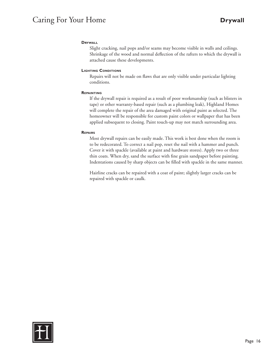# Caring For Your Home **Drywall**

# **Drywall**

Slight cracking, nail pops and/or seams may become visible in walls and ceilings. Shrinkage of the wood and normal deflection of the rafters to which the drywall is attached cause these developments.

### **Lighting Conditions**

Repairs will not be made on flaws that are only visible under particular lighting conditions.

### **Repainting**

If the drywall repair is required as a result of poor workmanship (such as blisters in tape) or other warranty-based repair (such as a plumbing leak), Highland Homes will complete the repair of the area damaged with original paint as selected. The homeowner will be responsible for custom paint colors or wallpaper that has been applied subsequent to closing. Paint touch-up may not match surrounding area.

### **Repairs**

Most drywall repairs can be easily made. This work is best done when the room is to be redecorated. To correct a nail pop, reset the nail with a hammer and punch. Cover it with spackle (available at paint and hardware stores). Apply two or three thin coats. When dry, sand the surface with fine grain sandpaper before painting. Indentations caused by sharp objects can be filled with spackle in the same manner.

Hairline cracks can be repaired with a coat of paint; slightly larger cracks can be repaired with spackle or caulk.

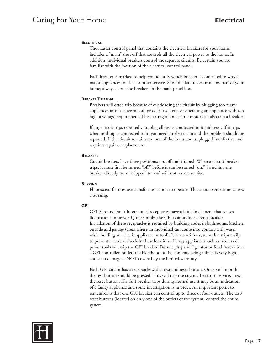# Caring For Your Home **Electrical**

# **Electrical**

The master control panel that contains the electrical breakers for your home includes a "main" shut off that controls all the electrical power to the home. In addition, individual breakers control the separate circuits. Be certain you are familiar with the location of the electrical control panel.

Each breaker is marked to help you identify which breaker is connected to which major appliances, outlets or other service. Should a failure occur in any part of your home, always check the breakers in the main panel box.

#### **Breaker Tripping**

Breakers will often trip because of overloading the circuit by plugging too many appliances into it, a worn cord or defective item, or operating an appliance with too high a voltage requirement. The starting of an electric motor can also trip a breaker.

If any circuit trips repeatedly, unplug all items connected to it and reset. If it trips when nothing is connected to it, you need an electrician and the problem should be reported. If the circuit remains on, one of the items you unplugged is defective and requires repair or replacement.

#### **Breakers**

Circuit breakers have three positions: on, off and tripped. When a circuit breaker trips, it must first be turned "off" before it can be turned "on." Switching the breaker directly from "tripped" to "on" will not restore service.

#### **Buzzing**

Fluorescent fixtures use transformer action to operate. This action sometimes causes a buzzing.

# **GFI**

GFI (Ground Fault Interrupter) receptacles have a built-in element that senses fluctuations in power. Quite simply, the GFI is an indoor circuit breaker. Installation of these receptacles is required by building codes in bathrooms, kitchen, outside and garage (areas where an individual can come into contact with water while holding an electric appliance or tool). It is a sensitive system that trips easily to prevent electrical shock in these locations. Heavy appliances such as freezers or power tools will trip the GFI breaker. Do not plug a refrigerator or food freezer into a GFI controlled outlet; the likelihood of the contents being ruined is very high, and such damage is NOT covered by the limited warranty.

Each GFI circuit has a receptacle with a test and reset button. Once each month the test button should be pressed. This will trip the circuit. To return service, press the reset button. If a GFI breaker trips during normal use it may be an indication of a faulty appliance and some investigation is in order. An important point to remember is that one GFI breaker can control up to three or four outlets. The test/ reset buttons (located on only one of the outlets of the system) control the entire system.

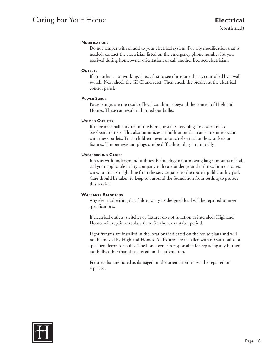# Caring For Your Home **Electrical**

### **MODIFICATIONS**

Do not tamper with or add to your electrical system. For any modification that is needed, contact the electrician listed on the emergency phone number list you received during homeowner orientation, or call another licensed electrician.

### **OUTLETS**

If an outlet is not working, check first to see if it is one that is controlled by a wall switch. Next check the GFCI and reset. Then check the breaker at the electrical control panel.

### **Power Surge**

Power surges are the result of local conditions beyond the control of Highland Homes. These can result in burned out bulbs.

# **UNUSED OUTLETS**

If there are small children in the home, install safety plugs to cover unused baseboard outlets. This also minimizes air infiltration that can sometimes occur with these outlets. Teach children never to touch electrical outlets, sockets or fixtures. Tamper resistant plugs can be difficult to plug into initially.

# **Underground Cables**

In areas with underground utilities, before digging or moving large amounts of soil, call your applicable utility company to locate underground utilities. In most cases, wires run in a straight line from the service panel to the nearest public utility pad. Care should be taken to keep soil around the foundation from settling to protect this service.

# **Warranty Standards**

Any electrical wiring that fails to carry its designed load will be repaired to meet specifications.

If electrical outlets, switches or fixtures do not function as intended, Highland Homes will repair or replace them for the warrantable period.

Light fixtures are installed in the locations indicated on the house plans and will not be moved by Highland Homes. All fixtures are installed with 60 watt bulbs or specified decorator bulbs. The homeowner is responsible for replacing any burned out bulbs other than those listed on the orientation.

Fixtures that are noted as damaged on the orientation list will be repaired or replaced.

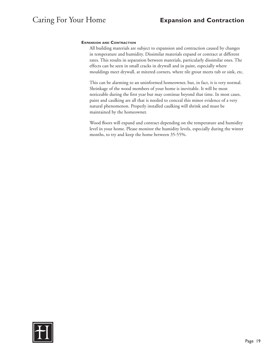# **Expansion and Contraction**

All building materials are subject to expansion and contraction caused by changes in temperature and humidity. Dissimilar materials expand or contract at different rates. This results in separation between materials, particularly dissimilar ones. The effects can be seen in small cracks in drywall and in paint, especially where mouldings meet drywall, at mitered corners, where tile grout meets tub or sink, etc.

This can be alarming to an uninformed homeowner, but, in fact, it is very normal. Shrinkage of the wood members of your home is inevitable. It will be most noticeable during the first year but may continue beyond that time. In most cases, paint and caulking are all that is needed to conceal this minor evidence of a very natural phenomenon. Properly installed caulking will shrink and must be maintained by the homeowner.

Wood floors will expand and contract depending on the temperature and humidity level in your home. Please monitor the humidity levels, especially during the winter months, to try and keep the home between 35-55%.

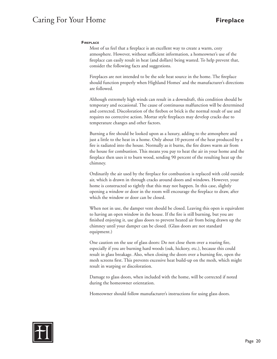# Caring For Your Home **Fireplace**

### **Fireplace**

Most of us feel that a fireplace is an excellent way to create a warm, cozy atmosphere. However, without sufficient information, a homeowner's use of the fireplace can easily result in heat (and dollars) being wasted. To help prevent that, consider the following facts and suggestions.

Fireplaces are not intended to be the sole heat source in the home. The fireplace should function properly when Highland Homes' and the manufacturer's directions are followed.

Although extremely high winds can result in a downdraft, this condition should be temporary and occasional. The cause of continuous malfunction will be determined and corrected. Discoloration of the firebox or brick is the normal result of use and requires no corrective action. Mortar style fireplaces may develop cracks due to temperature changes and other factors.

Burning a fire should be looked upon as a luxury, adding to the atmosphere and just a little to the heat in a home. Only about 10 percent of the heat produced by a fire is radiated into the house. Normally as it burns, the fire draws warm air from the house for combustion. This means you pay to heat the air in your home and the fireplace then uses it to burn wood, sending 90 percent of the resulting heat up the chimney.

Ordinarily the air used by the fireplace for combustion is replaced with cold outside air, which is drawn in through cracks around doors and windows. However, your home is constructed so tightly that this may not happen. In this case, slightly opening a window or door in the room will encourage the fireplace to draw, after which the window or door can be closed.

When not in use, the damper vent should be closed. Leaving this open is equivalent to having an open window in the house. If the fire is still burning, but you are finished enjoying it, use glass doors to prevent heated air from being drawn up the chimney until your damper can be closed. (Glass doors are not standard equipment.)

One caution on the use of glass doors: Do not close them over a roaring fire, especially if you are burning hard woods (oak, hickory, etc.), because this could result in glass breakage. Also, when closing the doors over a burning fire, open the mesh screens first. This prevents excessive heat build-up on the mesh, which might result in warping or discoloration.

Damage to glass doors, when included with the home, will be corrected if noted during the homeowner orientation.

Homeowner should follow manufacturer's instructions for using glass doors.

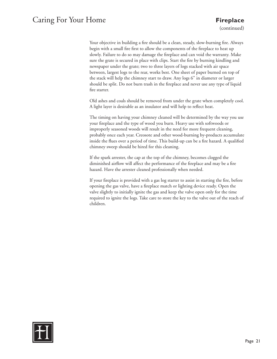# Caring For Your Home **Fireplace**

(continued)

Your objective in building a fire should be a clean, steady, slow-burning fire. Always begin with a small fire first to allow the components of the fireplace to heat up slowly. Failure to do so may damage the fireplace and can void the warranty. Make sure the grate is secured in place with clips. Start the fire by burning kindling and newspaper under the grate; two to three layers of logs stacked with air space between, largest logs to the rear, works best. One sheet of paper burned on top of the stack will help the chimney start to draw. Any logs 6" in diameter or larger should be split. Do not burn trash in the fireplace and never use any type of liquid fire starter.

Old ashes and coals should be removed from under the grate when completely cool. A light layer is desirable as an insulator and will help to reflect heat.

The timing on having your chimney cleaned will be determined by the way you use your fireplace and the type of wood you burn. Heavy use with softwoods or improperly seasoned woods will result in the need for more frequent cleaning, probably once each year. Creosote and other wood-burning by-products accumulate inside the flues over a period of time. This build-up can be a fire hazard. A qualified chimney sweep should be hired for this cleaning.

If the spark arrester, the cap at the top of the chimney, becomes clogged the diminished airflow will affect the performance of the fireplace and may be a fire hazard. Have the arrester cleaned professionally when needed.

If your fireplace is provided with a gas log starter to assist in starting the fire, before opening the gas valve, have a fireplace match or lighting device ready. Open the valve slightly to initially ignite the gas and keep the valve open only for the time required to ignite the logs. Take care to store the key to the valve out of the reach of children.

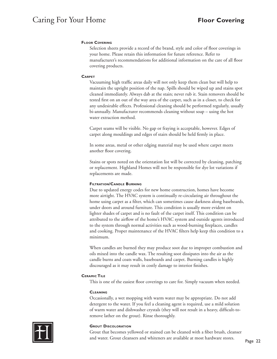# **Floor Covering**

Selection sheets provide a record of the brand, style and color of floor coverings in your home. Please retain this information for future reference. Refer to manufacturer's recommendations for additional information on the care of all floor covering products.

#### **Carpet**

Vacuuming high traffic areas daily will not only keep them clean but will help to maintain the upright position of the nap. Spills should be wiped up and stains spot cleaned immediately. Always dab at the stain; never rub it. Stain removers should be tested first on an out of the way area of the carpet, such as in a closet, to check for any undesirable effects. Professional cleaning should be performed regularly, usually bi-annually. Manufacturer recommends cleaning without soap – using the hot water extraction method.

Carpet seams will be visible. No gap or fraying is acceptable, however. Edges of carpet along mouldings and edges of stairs should be held firmly in place.

In some areas, metal or other edging material may be used where carpet meets another floor covering.

Stains or spots noted on the orientation list will be corrected by cleaning, patching or replacement. Highland Homes will not be responsible for dye lot variations if replacements are made.

#### **Filtration/Candle Burning**

Due to updated energy codes for new home construction, homes have become more airtight. The HVAC system is continually re-circulating air throughout the home using carpet as a filter, which can sometimes cause darkness along baseboards, under doors and around furniture. This condition is usually more evident on lighter shades of carpet and is no fault of the carpet itself. This condition can be attributed to the airflow of the home's HVAC system and outside agents introduced to the system through normal activities such as wood-burning fireplaces, candles and cooking. Proper maintenance of the HVAC filters help keep this condition to a minimum.

When candles are burned they may produce soot due to improper combustion and oils mixed into the candle wax. The resulting soot dissipates into the air as the candle burns and coats walls, baseboards and carpet. Burning candles is highly discouraged as it may result in costly damage to interior finishes.

# **Ceramic Tile**

This is one of the easiest floor coverings to care for. Simply vacuum when needed.

#### **Cleaning**

Occasionally, a wet mopping with warm water may be appropriate. Do not add detergent to the water. If you feel a cleaning agent is required, use a mild solution of warm water and dishwasher crystals (they will not result in a heavy, difficult-toremove lather on the grout). Rinse thoroughly.



### **Grout Discoloration**

Grout that becomes yellowed or stained can be cleaned with a fiber brush, cleanser and water. Grout cleansers and whiteners are available at most hardware stores.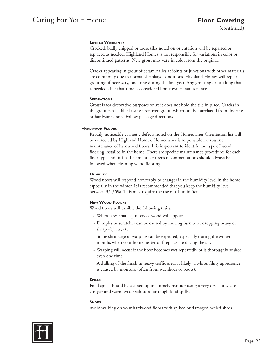# Caring For Your Home **Floor Covering**

(continued)

# **Limited Warranty**

Cracked, badly chipped or loose tiles noted on orientation will be repaired or replaced as needed. Highland Homes is not responsible for variations in color or discontinued patterns. New grout may vary in color from the original.

Cracks appearing in grout of ceramic tiles at joints or junctions with other materials are commonly due to normal shrinkage conditions. Highland Homes will repair grouting, if necessary, one time during the first year. Any grouting or caulking that is needed after that time is considered homeowner maintenance.

# **Separations**

Grout is for decorative purposes only; it does not hold the tile in place. Cracks in the grout can be filled using premixed grout, which can be purchased from flooring or hardware stores. Follow package directions.

# **Hardwood Floors**

Readily noticeable cosmetic defects noted on the Homeowner Orientation list will be corrected by Highland Homes. Homeowner is responsible for routine maintenance of hardwood floors. It is important to identify the type of wood flooring installed in the home. There are specific maintenance procedures for each floor type and finish. The manufacturer's recommentations should always be followed when cleaning wood flooring.

# **HUMIDITY**

Wood floors will respond noticeably to changes in the humidity level in the home, especially in the winter. It is recommended that you keep the humidity level between 35-55%. This may require the use of a humidifier.

# **New Wood Floors**

Wood floors will exhibit the following traits:

- ~ When new, small splinters of wood will appear.
- ~ Dimples or scratches can be caused by moving furniture, dropping heavy or sharp objects, etc.
- ~ Some shrinkage or warping can be expected, especially during the winter months when your home heater or fireplace are drying the air.
- ~ Warping will occur if the floor becomes wet repeatedly or is thoroughly soaked even one time.
- ~ A dulling of the finish in heavy traffic areas is likely; a white, filmy appearance is caused by moisture (often from wet shoes or boots).

# **Spills**

Food spills should be cleaned up in a timely manner using a very dry cloth. Use vinegar and warm water solution for tough food spills.

# **Shoes**

Avoid walking on your hardwood floors with spiked or damaged heeled shoes.

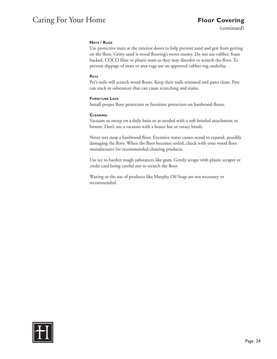# Caring For Your Home **Floor Covering**

(continued)

# **Mats / Rugs**

Use protective mats at the exterior doors to help prevent sand and grit from getting on the floor. Gritty sand is wood flooring's worst enemy. Do not use rubber, foam backed, COCO fiber or plastic mats as they may discolor or scratch the floor. To prevent slippage of mats or area rugs use an approved rubber rug underlay.

# **Pets**

Pet's nails will scratch wood floors. Keep their nails trimmed and paws clean. Pets can track in substances that can cause scratching and stains.

# **Furniture Legs**

Install proper floor protectors or furniture protectors on hardwood floors.

# **Cleaning**

Vacuum or sweep on a daily basis or as needed with a soft bristled attachment or broom. Don't use a vacuum with a beater bar or rotary brush.

Never wet mop a hardwood floor. Excessive water causes wood to expand, possibly damaging the floor. When the floor becomes soiled, check with your wood floor manufacturer for recommended cleaning products.

Use ice to harden tough substances like gum. Gently scrape with plastic scraper or credit card being careful not to scratch the floor.

Waxing or the use of products like Murphy Oil Soap are not necessary or recommended.

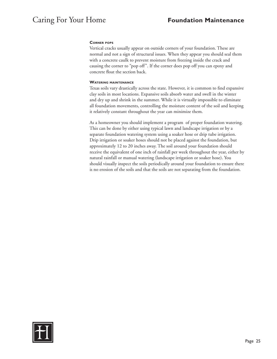### **Corner pops**

Vertical cracks usually appear on outside corners of your foundation. These are normal and not a sign of structural issues. When they appear you should seal them with a concrete caulk to prevent moisture from freezing inside the crack and causing the corner to "pop off". If the corner does pop off you can epoxy and concrete float the section back.

### **Watering maintenance**

Texas soils vary drastically across the state. However, it is common to find expansive clay soils in most locations. Expansive soils absorb water and swell in the winter and dry up and shrink in the summer. While it is virtually impossible to eliminate all foundation movements, controlling the moisture content of the soil and keeping it relatively constant throughout the year can minimize them.

As a homeowner you should implement a program of proper foundation watering. This can be done by either using typical lawn and landscape irrigation or by a separate foundation watering system using a soaker hose or drip tube irrigation. Drip irrigation or soaker hoses should not be placed against the foundation, but approximately 12 to 20 inches away. The soil around your foundation should receive the equivalent of one inch of rainfall per week throughout the year, either by natural rainfall or manual watering (landscape irrigation or soaker hose). You should visually inspect the soils periodically around your foundation to ensure there is no erosion of the soils and that the soils are not separating from the foundation.

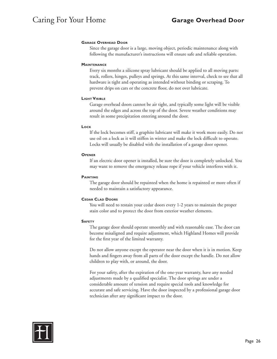### **Garage Overhead Door**

Since the garage door is a large, moving object, periodic maintenance along with following the manufacturer's instructions will ensure safe and reliable operation.

#### **Maintenance**

Every six months a silicone spray lubricant should be applied to all moving parts: track, rollers, hinges, pulleys and springs. At this same interval, check to see that all hardware is tight and operating as intended without binding or scraping. To prevent drips on cars or the concrete floor, do not over lubricate.

#### **Light Visible**

Garage overhead doors cannot be air tight, and typically some light will be visible around the edges and across the top of the door. Severe weather conditions may result in some precipitation entering around the door.

#### **Lock**

If the lock becomes stiff, a graphite lubricant will make it work more easily. Do not use oil on a lock as it will stiffen in winter and make the lock difficult to operate. Locks will usually be disabled with the installation of a garage door opener.

#### **Opener**

If an electric door opener is installed, be sure the door is completely unlocked. You may want to remove the emergency release rope if your vehicle interferes with it.

#### **PAINTING**

The garage door should be repainted when the home is repainted or more often if needed to maintain a satisfactory appearance.

#### **Cedar Clad Doors**

You will need to restain your cedar doors every 1-2 years to maintain the proper stain color and to protect the door from exterior weather elements.

#### **Safety**

The garage door should operate smoothly and with reasonable ease. The door can become misaligned and require adjustment, which Highland Homes will provide for the first year of the limited warranty.

Do not allow anyone except the operator near the door when it is in motion. Keep hands and fingers away from all parts of the door except the handle. Do not allow children to play with, or around, the door.

For your safety, after the expiration of the one-year warranty, have any needed adjustments made by a qualified specialist. The door springs are under a considerable amount of tension and require special tools and knowledge for accurate and safe servicing. Have the door inspected by a professional garage door technician after any significant impact to the door.

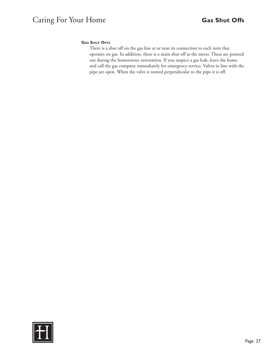# **Gas Shut Offs**

There is a shut off on the gas line at or near its connection to each item that operates on gas. In addition, there is a main shut off at the meter. These are pointed out during the homeowner orientation. If you suspect a gas leak, leave the home and call the gas company immediately for emergency service. Valves in line with the pipe are open. When the valve is turned perpendicular to the pipe it is off.

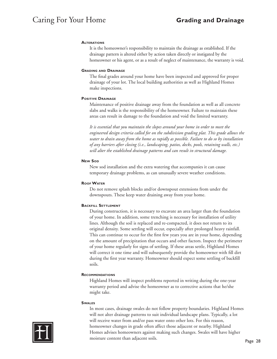### **Alterations**

It is the homeowner's responsibility to maintain the drainage as established. If the drainage pattern is altered either by action taken directly or instigated by the homeowner or his agent, or as a result of neglect of maintenance, the warranty is void.

#### **Grading and Drainage**

The final grades around your home have been inspected and approved for proper drainage of your lot. The local building authorities as well as Highland Homes make inspections.

### **Positive Drainage**

Maintenance of positive drainage away from the foundation as well as all concrete slabs and walks is the responsibility of the homeowner. Failure to maintain these areas can result in damage to the foundation and void the limited warranty.

*It is essential that you maintain the slopes around your home in order to meet the engineered design criteria called for on the subdivision grading plat. This grade allows the water to drain away from the home as rapidly as possible. Failure to do so by installation of any barriers after closing (i.e., landscaping, patios, decks, pools, retaining walls, etc.) will alter the established drainage patterns and can result in structural damage.*

### **New Son**

New sod installation and the extra watering that accompanies it can cause temporary drainage problems, as can unusually severe weather conditions.

# **Roof Water**

Do not remove splash blocks and/or downspout extensions from under the downspouts. These keep water draining away from your home.

# **Backfill Settlement**

During construction, it is necessary to excavate an area larger than the foundation of your home. In addition, some trenching is necessary for installation of utility lines. Although the soil is replaced and re-compacted, it does not return to its original density. Some settling will occur, especially after prolonged heavy rainfall. This can continue to occur for the first few years you are in your home, depending on the amount of precipitation that occurs and other factors. Inspect the perimeter of your home regularly for signs of settling. If these areas settle, Highland Homes will correct it one time and will subsequently provide the homeowner with fill dirt during the first year warranty. Homeowner should expect some settling of backfill soils.

# **Recommendations**

Highland Homes will inspect problems reported in writing during the one-year warranty period and advise the homeowner as to corrective actions that he/she might take.

#### **Swales**

In most cases, drainage swales do not follow property boundaries. Highland Homes will not alter drainage patterns to suit individual landscape plans. Typically, a lot will receive water from and/or pass water onto other lots. For this reason, homeowner changes in grade often affect those adjacent or nearby. Highland Homes advises homeowners against making such changes. Swales will have higher moisture content than adjacent soils.

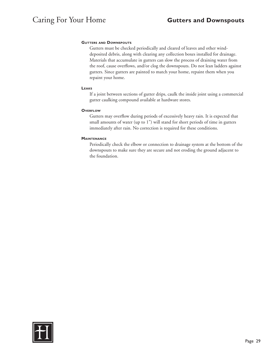### **Gutters and Downspouts**

Gutters must be checked periodically and cleared of leaves and other winddeposited debris, along with clearing any collection boxes installed for drainage. Materials that accumulate in gutters can slow the process of draining water from the roof, cause overflows, and/or clog the downspouts. Do not lean ladders against gutters. Since gutters are painted to match your home, repaint them when you repaint your home.

#### **Leaks**

If a joint between sections of gutter drips, caulk the inside joint using a commercial gutter caulking compound available at hardware stores.

#### **O**verFLOW

Gutters may overflow during periods of excessively heavy rain. It is expected that small amounts of water (up to 1") will stand for short periods of time in gutters immediately after rain. No correction is required for these conditions.

#### **Maintenance**

Periodically check the elbow or connection to drainage system at the bottom of the downspouts to make sure they are secure and not eroding the ground adjacent to the foundation.

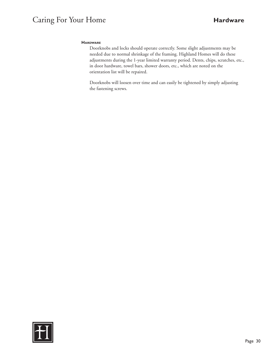# Caring For Your Home **Hardware**

# **Hardware**

Doorknobs and locks should operate correctly. Some slight adjustments may be needed due to normal shrinkage of the framing. Highland Homes will do these adjustments during the 1-year limited warranty period. Dents, chips, scratches, etc., in door hardware, towel bars, shower doors, etc., which are noted on the orientation list will be repaired.

Doorknobs will loosen over time and can easily be tightened by simply adjusting the fastening screws.

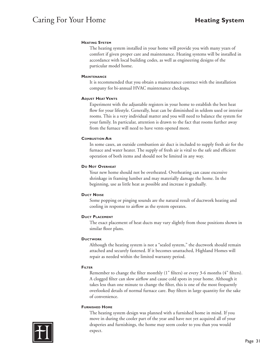# **Heating System**

The heating system installed in your home will provide you with many years of comfort if given proper care and maintenance. Heating systems will be installed in accordance with local building codes, as well as engineering designs of the particular model home.

# **Maintenance**

It is recommended that you obtain a maintenance contract with the installation company for bi-annual HVAC maintenance checkups.

# **Adjust Heat Vents**

Experiment with the adjustable registers in your home to establish the best heat flow for your lifestyle. Generally, heat can be diminished in seldom used or interior rooms. This is a very individual matter and you will need to balance the system for your family. In particular, attention is drawn to the fact that rooms further away from the furnace will need to have vents opened more.

# **Combustion Air**

In some cases, an outside combustion air duct is included to supply fresh air for the furnace and water heater. The supply of fresh air is vital to the safe and efficient operation of both items and should not be limited in any way.

# **Do Not Overheat**

Your new home should not be overheated. Overheating can cause excessive shrinkage in framing lumber and may materially damage the home. In the beginning, use as little heat as possible and increase it gradually.

# **Duct Noise**

Some popping or pinging sounds are the natural result of ductwork heating and cooling in response to airflow as the system operates.

# **Duct Placement**

The exact placement of heat ducts may vary slightly from those positions shown in similar floor plans.

# **Ductwork**

Although the heating system is not a "sealed system," the ductwork should remain attached and securely fastened. If it becomes unattached, Highland Homes will repair as needed within the limited warranty period.

# **Filter**

Remember to change the filter monthly (1" filters) or every 3-6 months (4" filters). A clogged filter can slow airflow and cause cold spots in your home. Although it takes less than one minute to change the filter, this is one of the most frequently overlooked details of normal furnace care. Buy filters in large quantity for the sake of convenience.

# **Furnished Home**

The heating system design was planned with a furnished home in mind. If you move in during the cooler part of the year and have not yet acquired all of your draperies and furnishings, the home may seem cooler to you than you would expect.

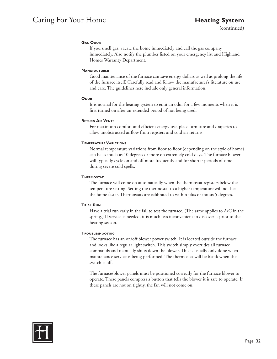# Caring For Your Home **Heating System**

(continued)

# **Gas Odor**

If you smell gas, vacate the home immediately and call the gas company immediately. Also notify the plumber listed on your emergency list and Highland Homes Warranty Department.

# **Manufacturer**

Good maintenance of the furnace can save energy dollars as well as prolong the life of the furnace itself. Carefully read and follow the manufacturer's literature on use and care. The guidelines here include only general information.

# **Odor**

It is normal for the heating system to emit an odor for a few moments when it is first turned on after an extended period of not being used.

# **Return Air Vents**

For maximum comfort and efficient energy use, place furniture and draperies to allow unobstructed airflow from registers and cold air returns.

# **Temperature Variations**

Normal temperature variations from floor to floor (depending on the style of home) can be as much as 10 degrees or more on extremely cold days. The furnace blower will typically cycle on and off more frequently and for shorter periods of time during severe cold spells.

# **Thermostat**

The furnace will come on automatically when the thermostat registers below the temperature setting. Setting the thermostat to a higher temperature will not heat the home faster. Thermostats are calibrated to within plus or minus 5 degrees.

# **Trial Run**

Have a trial run early in the fall to test the furnace. (The same applies to A/C in the spring.) If service is needed, it is much less inconvenient to discover it prior to the heating season.

# **Troubleshooting**

The furnace has an on/off blower power switch. It is located outside the furnace and looks like a regular light switch. This switch simply overrides all furnace commands and manually shuts down the blower. This is usually only done when maintenance service is being performed. The thermostat will be blank when this switch is off.

The furnace/blower panels must be positioned correctly for the furnace blower to operate. These panels compress a button that tells the blower it is safe to operate. If these panels are not on tightly, the fan will not come on.

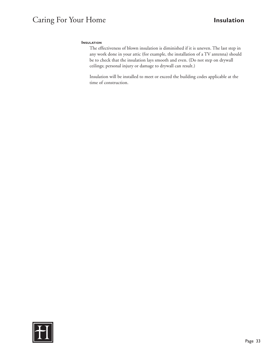# Caring For Your Home **Insulation**

### **INSULATION**

The effectiveness of blown insulation is diminished if it is uneven. The last step in any work done in your attic (for example, the installation of a TV antenna) should be to check that the insulation lays smooth and even. (Do not step on drywall ceilings; personal injury or damage to drywall can result.)

Insulation will be installed to meet or exceed the building codes applicable at the time of construction.

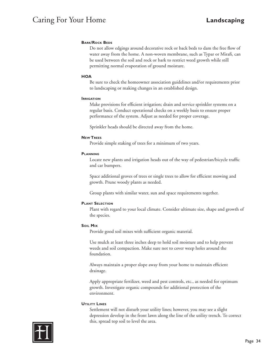# Caring For Your Home **Landscaping**

# **BARK/ROCK BEDS**

Do not allow edgings around decorative rock or back beds to dam the free flow of water away from the home. A non-woven membrane, such as Typar or Mirafi, can be used between the soil and rock or bark to restrict weed growth while still permitting normal evaporation of ground moisture.

# **HOA**

Be sure to check the homeowner association guidelines and/or requirements prior to landscaping or making changes in an established design.

### **IRRIGATION**

Make provisions for efficient irrigation; drain and service sprinkler systems on a regular basis. Conduct operational checks on a weekly basis to ensure proper performance of the system. Adjust as needed for proper coverage.

Sprinkler heads should be directed away from the home.

# **New Trees**

Provide simple staking of trees for a minimum of two years.

# **Planning**

Locate new plants and irrigation heads out of the way of pedestrian/bicycle traffic and car bumpers.

Space additional groves of trees or single trees to allow for efficient mowing and growth. Prune woody plants as needed.

Group plants with similar water, sun and space requirements together.

# **Plant Selection**

Plant with regard to your local climate. Consider ultimate size, shape and growth of the species.

# **Soil Mix**

Provide good soil mixes with sufficient organic material.

Use mulch at least three inches deep to hold soil moisture and to help prevent weeds and soil compaction. Make sure not to cover weep holes around the foundation.

Always maintain a proper slope away from your home to maintain efficient drainage.

Apply appropriate fertilizer, weed and pest controls, etc., as needed for optimum growth. Investigate organic compounds for additional protection of the environment.

# **Utility Lines**

Settlement will not disturb your utility lines; however, you may see a slight depression develop in the front lawn along the line of the utility trench. To correct this, spread top soil to level the area.

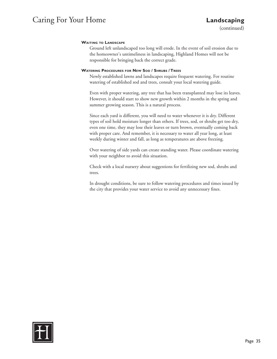# **Waiting to Landscape**

Ground left unlandscaped too long will erode. In the event of soil erosion due to the homeowner's untimeliness in landscaping, Highland Homes will not be responsible for bringing back the correct grade.

# **Watering Procedures for New Sod / Shrubs / Trees**

Newly established lawns and landscapes require frequent watering. For routine watering of established sod and trees, consult your local watering guide.

Even with proper watering, any tree that has been transplanted may lose its leaves. However, it should start to show new growth within 2 months in the spring and summer growing season. This is a natural process.

Since each yard is different, you will need to water whenever it is dry. Different types of soil hold moisture longer than others. If trees, sod, or shrubs get too dry, even one time, they may lose their leaves or turn brown, eventually coming back with proper care. And remember, it is necessary to water all year long, at least weekly during winter and fall, as long as temperatures are above freezing.

Over watering of side yards can create standing water. Please coordinate watering with your neighbor to avoid this situation.

Check with a local nursery about suggestions for fertilizing new sod, shrubs and trees.

In drought conditions, be sure to follow watering procedures and times issued by the city that provides your water service to avoid any unnecessary fines.

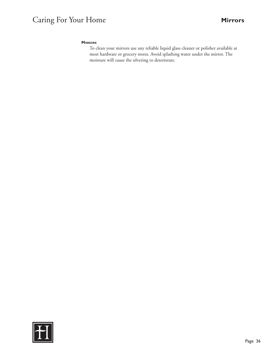# Caring For Your Home **Mirrors**

# **Mirrors**

To clean your mirrors use any reliable liquid glass cleaner or polisher available at most hardware or grocery stores. Avoid splashing water under the mirror. The moisture will cause the silvering to deteriorate.

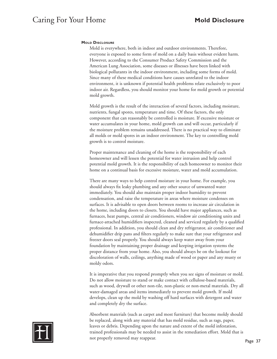### **Mold Disclosure**

Mold is everywhere, both in indoor and outdoor environments. Therefore, everyone is exposed to some form of mold on a daily basis without evident harm. However, according to the Consumer Product Safety Commission and the American Lung Association, some diseases or illnesses have been linked with biological pollutants in the indoor environment, including some forms of mold. Since many of these medical conditions have causes unrelated to the indoor environment, it is unknown if potential health problems relate exclusively to poor indoor air. Regardless, you should monitor your home for mold growth or potential mold growth.

Mold growth is the result of the interaction of several factors, including moisture, nutrients, fungal spores, temperature and time. Of these factors, the only component that can reasonably be controlled is moisture. If excessive moisture or water accumulates in your home, mold growth can and will occur, particularly if the moisture problem remains unaddressed. There is no practical way to eliminate all molds or mold spores in an indoor environment. The key to controlling mold growth is to control moisture.

Proper maintenance and cleaning of the home is the responsibility of each homeowner and will lessen the potential for water intrusion and help control potential mold growth. It is the responsibility of each homeowner to monitor their home on a continual basis for excessive moisture, water and mold accumulation.

There are many ways to help control moisture in your home. For example, you should always fix leaky plumbing and any other source of unwanted water immediately. You should also maintain proper indoor humidity to prevent condensation, and raise the temperature in areas where moisture condenses on surfaces. It is advisable to open doors between rooms to increase air circulation in the home, including doors to closets. You should have major appliances, such as furnaces, heat pumps, central air conditioners, window air conditioning units and furnace-attached humidifiers inspected, cleaned and serviced regularly by a qualified professional. In addition, you should clean and dry refrigerator, air conditioner and dehumidifier drip pans and filters regularly to make sure that your refrigerator and freezer doors seal properly. You should always keep water away from your foundation by maintaining proper drainage and keeping irrigation systems the proper distance from your home. Also, you should always be on the lookout for discoloration of walls, ceilings, anything made of wood or paper and any musty or moldy odors.

It is imperative that you respond promptly when you see signs of moisture or mold. Do not allow moisture to stand or make contact with cellulose-based materials, such as wood, drywall or other non-tile, non-plastic or non-metal materials. Dry all water-damaged areas and items immediately to prevent mold growth. If mold develops, clean up the mold by washing off hard surfaces with detergent and water and completely dry the surface.

Absorbent materials (such as carpet and most furniture) that become moldy should be replaced, along with any material that has mold residue, such as rags, paper, leaves or debris. Depending upon the nature and extent of the mold infestation, trained professionals may be needed to assist in the remediation effort. Mold that is not properly removed may reappear.

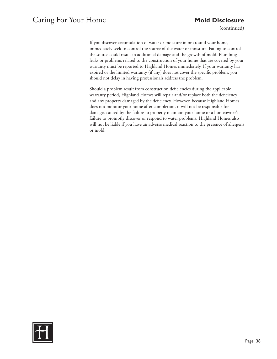# Caring For Your Home **Mold Disclosure**

(continued)

If you discover accumulation of water or moisture in or around your home, immediately seek to control the source of the water or moisture. Failing to control the source could result in additional damage and the growth of mold. Plumbing leaks or problems related to the construction of your home that are covered by your warranty must be reported to Highland Homes immediately. If your warranty has expired or the limited warranty (if any) does not cover the specific problem, you should not delay in having professionals address the problem.

Should a problem result from construction deficiencies during the applicable warranty period, Highland Homes will repair and/or replace both the deficiency and any property damaged by the deficiency. However, because Highland Homes does not monitor your home after completion, it will not be responsible for damages caused by the failure to properly maintain your home or a homeowner's failure to promptly discover or respond to water problems. Highland Homes also will not be liable if you have an adverse medical reaction to the presence of allergens or mold.

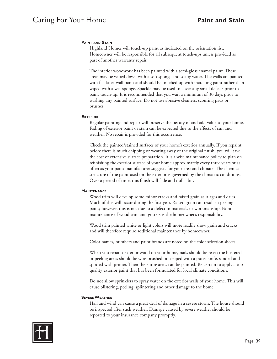# **Paint and Stain**

Highland Homes will touch-up paint as indicated on the orientation list. Homeowner will be responsible for all subsequent touch-ups unless provided as part of another warranty repair.

The interior woodwork has been painted with a semi-gloss enamel paint. These areas may be wiped down with a soft sponge and soapy water. The walls are painted with flat latex wall paint and should be touched up with matching paint rather than wiped with a wet sponge. Spackle may be used to cover any small defects prior to paint touch-up. It is recommended that you wait a minimum of 30 days prior to washing any painted surface. Do not use abrasive cleaners, scouring pads or brushes.

#### **Exterior**

Regular painting and repair will preserve the beauty of and add value to your home. Fading of exterior paint or stain can be expected due to the effects of sun and weather. No repair is provided for this occurrence.

Check the painted/stained surfaces of your home's exterior annually. If you repaint before there is much chipping or wearing away of the original finish, you will save the cost of extensive surface preparation. It is a wise maintenance policy to plan on refinishing the exterior surface of your home approximately every three years or as often as your paint manufacturer suggests for your area and climate. The chemical structure of the paint used on the exterior is governed by the climactic conditions. Over a period of time, this finish will fade and dull a bit.

#### **Maintenance**

Wood trim will develop some minor cracks and raised grain as it ages and dries. Much of this will occur during the first year. Raised grain can result in peeling paint; however, this is not due to a defect in materials or workmanship. Paint maintenance of wood trim and gutters is the homeowner's responsibility.

Wood trim painted white or light colors will more readily show grain and cracks and will therefore require additional maintenance by homeowner.

Color names, numbers and paint brands are noted on the color selection sheets.

When you repaint exterior wood on your home, nails should be reset; the blistered or peeling areas should be wire-brushed or scraped with a putty knife, sanded and spotted with primer. Then the entire areas can be painted. Be certain to apply a top quality exterior paint that has been formulated for local climate conditions.

Do not allow sprinklers to spray water on the exterior walls of your home. This will cause blistering, peeling, splintering and other damage to the home.

#### **Severe Weather**

Hail and wind can cause a great deal of damage in a severe storm. The house should be inspected after such weather. Damage caused by severe weather should be reported to your insurance company promptly.

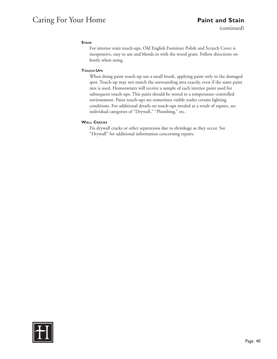# Caring For Your Home **Paint and Stain**

(continued)

# **STAIN**

For interior stain touch-ups, Old English Furniture Polish and Scratch Cover is inexpensive, easy to use and blends in with the wood grain. Follow directions on bottle when using.

# **Touch-Ups**

When doing paint touch-up use a small brush, applying paint only to the damaged spot. Touch-up may not match the surrounding area exactly, even if the same paint mix is used. Homeowners will receive a sample of each interior paint used for subsequent touch-ups. This paint should be stored in a temperature controlled environment. Paint touch-ups are sometimes visible under certain lighting conditions. For additional details on touch-ups needed as a result of repairs, see individual categories of "Drywall," "Plumbing," etc.

# **Wall Cracks**

Fix drywall cracks or other separations due to shrinkage as they occur. See "Drywall" for additional information concerning repairs.

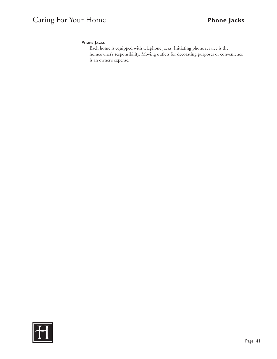# Caring For Your Home **Phone Jacks**

# **Phone Jacks**

Each home is equipped with telephone jacks. Initiating phone service is the homeowner's responsibility. Moving outlets for decorating purposes or convenience is an owner's expense.

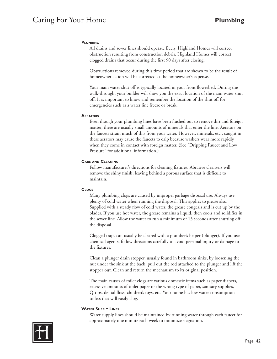# Caring For Your Home **Plumbing**

### **PLUMBING**

All drains and sewer lines should operate freely. Highland Homes will correct obstruction resulting from construction debris. Highland Homes will correct clogged drains that occur during the first 90 days after closing.

Obstructions removed during this time period that are shown to be the result of homeowner action will be corrected at the homeowner's expense.

Your main water shut off is typically located in your front flowerbed. During the walk-through, your builder will show you the exact location of the main water shut off. It is important to know and remember the location of the shut off for emergencies such as a water line freeze or break.

#### **Aerators**

Even though your plumbing lines have been flushed out to remove dirt and foreign matter, there are usually small amounts of minerals that enter the line. Aerators on the faucets strain much of this from your water. However, minerals, etc., caught in these aerators may cause the faucets to drip because washers wear more rapidly when they come in contact with foreign matter. (See "Dripping Faucet and Low Pressure" for additional information.)

### **Care and Cleaning**

Follow manufacturer's directions for cleaning fixtures. Abrasive cleansers will remove the shiny finish, leaving behind a porous surface that is difficult to maintain.

#### **Clogs**

Many plumbing clogs are caused by improper garbage disposal use. Always use plenty of cold water when running the disposal. This applies to grease also. Supplied with a steady flow of cold water, the grease congeals and is cut up by the blades. If you use hot water, the grease remains a liquid, then cools and solidifies in the sewer line. Allow the water to run a minimum of 15 seconds after shutting off the disposal.

Clogged traps can usually be cleared with a plumber's helper (plunger). If you use chemical agents, follow directions carefully to avoid personal injury or damage to the fixtures.

Clean a plunger drain stopper, usually found in bathroom sinks, by loosening the nut under the sink at the back, pull out the rod attached to the plunger and lift the stopper out. Clean and return the mechanism to its original position.

The main causes of toilet clogs are various domestic items such as paper diapers, excessive amounts of toilet paper or the wrong type of paper, sanitary supplies, Q-tips, dental floss, children's toys, etc. Your home has low water consumption toilets that will easily clog.

#### **Water Supply Lines**

Water supply lines should be maintained by running water through each faucet for approximately one minute each week to minimize stagnation.

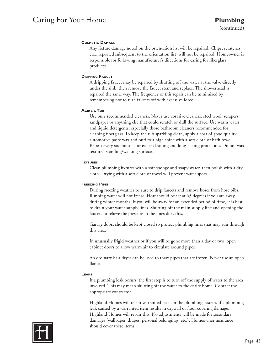# Caring For Your Home **Plumbing**

# **Cosmetic Damage**

Any fixture damage noted on the orientation list will be repaired. Chips, scratches, etc., reported subsequent to the orientation list, will not be repaired. Homeowner is responsible for following manufacturer's directions for caring for fiberglass products.

# **DRIPPING FAUCET**

A dripping faucet may be repaired by shutting off the water at the valve directly under the sink, then remove the faucet stem and replace. The showerhead is repaired the same way. The frequency of this repair can be minimized by remembering not to turn faucets off with excessive force.

# **Acrylic Tub**

Use only recommended cleaners. Never use abrasive cleaners, steel wool, scrapers, sandpaper or anything else that could scratch or dull the surface. Use warm water and liquid detergents, especially those bathroom cleaners recommended for cleaning fiberglass. To keep the tub sparkling clean, apply a coat of good quality automotive paste wax and buff to a high shine with a soft cloth or bath towel. Repeat every six months for easier cleaning and long-lasting protection. Do not wax textured standing/walking surfaces.

# **Fixtures**

Clean plumbing fixtures with a soft sponge and soapy water, then polish with a dry cloth. Drying with a soft cloth or towel will prevent water spots.

# **Freezing Pipes**

During freezing weather be sure to drip faucets and remove hoses from hose bibs. Running water will not freeze. Heat should be set at 65 degrees if you are away during winter months. If you will be away for an extended period of time, it is best to drain your water supply lines. Shutting off the main supply line and opening the faucets to relieve the pressure in the lines does this.

Garage doors should be kept closed to protect plumbing lines that may run through this area.

In unusually frigid weather or if you will be gone more than a day or two, open cabinet doors to allow warm air to circulate around pipes.

An ordinary hair dryer can be used to thaw pipes that are frozen. Never use an open flame.

# **Leaks**

If a plumbing leak occurs, the first step is to turn off the supply of water to the area involved. This may mean shutting off the water to the entire home. Contact the appropriate contractor.

Highland Homes will repair warranted leaks in the plumbing system. If a plumbing leak caused by a warranted item results in drywall or floor covering damage, Highland Homes will repair this. No adjustments will be made for secondary damages (wallpaper, drapes, personal belongings, etc.). Homeowner insurance should cover these items.

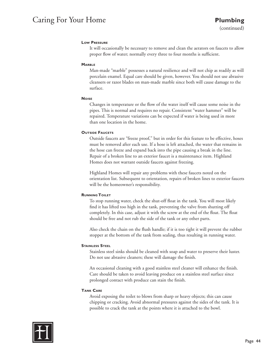# Caring For Your Home **Plumbing**

# **Low Pressure**

It will occasionally be necessary to remove and clean the aerators on faucets to allow proper flow of water; normally every three to four months is sufficient.

# **MARRIE**

Man-made "marble" possesses a natural resilience and will not chip as readily as will porcelain enamel. Equal care should be given, however. You should not use abrasive cleansers or razor blades on man-made marble since both will cause damage to the surface.

# **Noise**

Changes in temperature or the flow of the water itself will cause some noise in the pipes. This is normal and requires no repair. Consistent "water hammer" will be repaired. Temperature variations can be expected if water is being used in more than one location in the home.

# **OUTSIDE FAUCETS**

Outside faucets are "freeze proof," but in order for this feature to be effective, hoses must be removed after each use. If a hose is left attached, the water that remains in the hose can freeze and expand back into the pipe causing a break in the line. Repair of a broken line to an exterior faucet is a maintenance item. Highland Homes does not warrant outside faucets against freezing.

Highland Homes will repair any problems with these faucets noted on the orientation list. Subsequent to orientation, repairs of broken lines to exterior faucets will be the homeowner's responsibility.

# **Running Toilet**

To stop running water, check the shut-off float in the tank. You will most likely find it has lifted too high in the tank, preventing the valve from shutting off completely. In this case, adjust it with the screw at the end of the float. The float should be free and not rub the side of the tank or any other parts.

Also check the chain on the flush handle; if it is too tight it will prevent the rubber stopper at the bottom of the tank from sealing, thus resulting in running water.

# **Stainless Steel**

Stainless steel sinks should be cleaned with soap and water to preserve their luster. Do not use abrasive cleaners; these will damage the finish.

An occasional cleaning with a good stainless steel cleaner will enhance the finish. Care should be taken to avoid leaving produce on a stainless steel surface since prolonged contact with produce can stain the finish.

# **Tank Care**

Avoid exposing the toilet to blows from sharp or heavy objects; this can cause chipping or cracking. Avoid abnormal pressures against the sides of the tank. It is possible to crack the tank at the points where it is attached to the bowl.

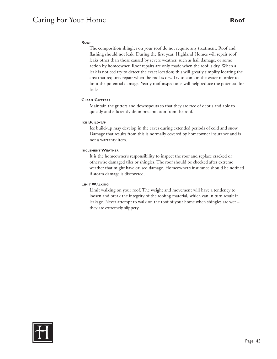# **Roof**

The composition shingles on your roof do not require any treatment. Roof and flashing should not leak. During the first year, Highland Homes will repair roof leaks other than those caused by severe weather, such as hail damage, or some action by homeowner. Roof repairs are only made when the roof is dry. When a leak is noticed try to detect the exact location; this will greatly simplify locating the area that requires repair when the roof is dry. Try to contain the water in order to limit the potential damage. Yearly roof inspections will help reduce the potential for leaks.

# **Clean Gutters**

Maintain the gutters and downspouts so that they are free of debris and able to quickly and efficiently drain precipitation from the roof.

### **ICE BUILD-UP**

Ice build-up may develop in the eaves during extended periods of cold and snow. Damage that results from this is normally covered by homeowner insurance and is not a warranty item.

### **Inclement Weather**

It is the homeowner's responsibility to inspect the roof and replace cracked or otherwise damaged tiles or shingles. The roof should be checked after extreme weather that might have caused damage. Homeowner's insurance should be notified if storm damage is discovered.

# **Limit Walking**

Limit walking on your roof. The weight and movement will have a tendency to loosen and break the integrity of the roofing material, which can in turn result in leakage. Never attempt to walk on the roof of your home when shingles are wet – they are extremely slippery.

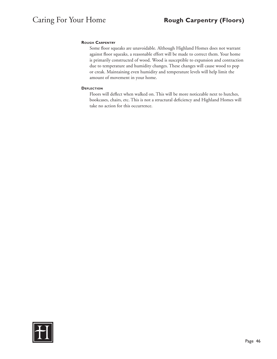### **Rough Carpentry**

Some floor squeaks are unavoidable. Although Highland Homes does not warrant against floor squeaks, a reasonable effort will be made to correct them. Your home is primarily constructed of wood. Wood is susceptible to expansion and contraction due to temperature and humidity changes. These changes will cause wood to pop or creak. Maintaining even humidity and temperature levels will help limit the amount of movement in your home.

#### **Deflection**

Floors will deflect when walked on. This will be more noticeable next to hutches, bookcases, chairs, etc. This is not a structural deficiency and Highland Homes will take no action for this occurrence.

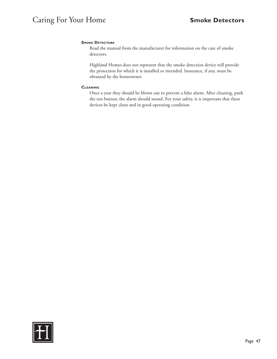# **SMOKE DETECTORS**

Read the manual from the manufacturer for information on the care of smoke detectors.

Highland Homes does not represent that the smoke detection device will provide the protection for which it is installed or intended. Insurance, if any, must be obtained by the homeowner.

### **Cleaning**

Once a year they should be blown out to prevent a false alarm. After cleaning, push the test button; the alarm should sound. For your safety, it is important that these devices be kept clean and in good operating condition.

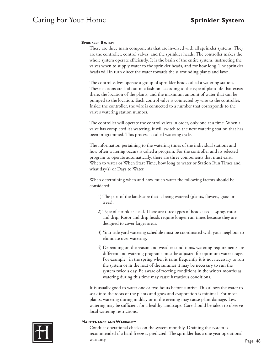### **Sprinkler System**

There are three main components that are involved with all sprinkler systems. They are the controller, control valves, and the sprinkler heads. The controller makes the whole system operate efficiently. It is the brain of the entire system, instructing the valves when to supply water to the sprinkler heads, and for how long. The sprinkler heads will in turn direct the water towards the surrounding plants and lawn.

The control valves operate a group of sprinkler heads called a watering station. These stations are laid out in a fashion according to the type of plant life that exists there, the location of the plants, and the maximum amount of water that can be pumped to the location. Each control valve is connected by wire to the controller. Inside the controller, the wire is connected to a number that corresponds to the valve's watering station number.

The controller will operate the control valves in order, only one at a time. When a valve has completed it's watering, it will switch to the next watering station that has been programmed. This process is called watering cycle.

The information pertaining to the watering times of the individual stations and how often watering occurs is called a program. For the controller and its selected program to operate automatically, there are three components that must exist: When to water or When Start Time, how long to water or Station Run Times and what day(s) or Days to Water.

When determining when and how much water the following factors should be considered:

- 1) The part of the landscape that is being watered (plants, flowers, grass or trees).
- 2) Type of sprinkler head. There are three types of heads used spray, rotor and drip. Rotor and drip heads require longer run times because they are designed to cover larger areas.
- 3) Your side yard watering schedule must be coordinated with your neighbor to eliminate over watering.
- 4) Depending on the season and weather conditions, watering requirements are different and watering programs must be adjusted for optimum water usage. For example: in the spring when it rains frequently it is not necessary to run the system or in the heat of the summer it may be necessary to run the system twice a day. Be aware of freezing conditions in the winter months as watering during this time may cause hazardous conditions.

It is usually good to water one or two hours before sunrise. This allows the water to soak into the roots of the plants and grass and evaporation is minimal. For most plants, watering during midday or in the evening may cause plant damage. Less watering may be sufficient for a healthy landscape. Care should be taken to observe local watering restrictions.



#### **Maintenance and Warranty**

Conduct operational checks on the system monthly. Draining the system is recommended if a hard freeze is predicted. The sprinkler has a one year operational warranty.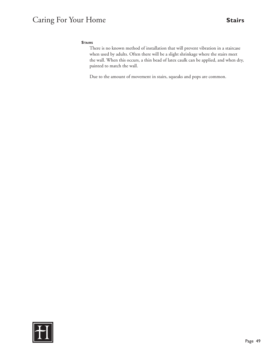# Caring For Your Home **Stairs**

# **Stairs**

There is no known method of installation that will prevent vibration in a staircase when used by adults. Often there will be a slight shrinkage where the stairs meet the wall. When this occurs, a thin bead of latex caulk can be applied, and when dry, painted to match the wall.

Due to the amount of movement in stairs, squeaks and pops are common.

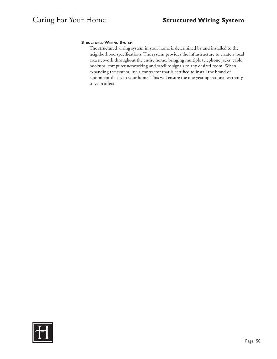# **Structured Wiring System**

The structured wiring system in your home is determined by and installed to the neighborhood specifications. The system provides the infrastructure to create a local area network throughout the entire home, bringing multiple telephone jacks, cable hookups, computer networking and satellite signals to any desired room. When expanding the system, use a contractor that is certified to install the brand of equipment that is in your home. This will ensure the one year operational warranty stays in affect.

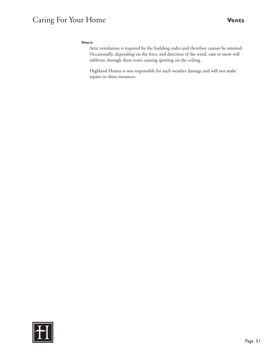# Caring For Your Home **Vents**

# **Vents**

Attic ventilation is required by the building codes and therefore cannot be omitted. Occasionally, depending on the force and direction of the wind, rain or snow will infiltrate through these vents causing spotting on the ceiling.

Highland Homes is not responsible for such weather damage and will not make repairs in these instances.

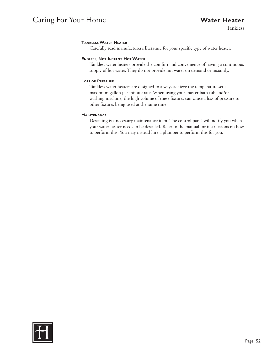# Caring For Your Home **Water Heater**

Tankless

# **Tankless Water Heater**

Carefully read manufacturer's literature for your specific type of water heater.

### **Endless, Not Instant Hot Water**

Tankless water heaters provide the comfort and convenience of having a continuous supply of hot water. They do not provide hot water on demand or instantly.

### **Loss of Pressure**

Tankless water heaters are designed to always achieve the temperature set at maximum gallon per minute rate. When using your master bath tub and/or washing machine, the high volume of these fixtures can cause a loss of pressure to other fixtures being used at the same time.

### **Maintenance**

Descaling is a necessary maintenance item. The control panel will notify you when your water heater needs to be descaled. Refer to the manual for instructions on how to perform this. You may instead hire a plumber to perform this for you.

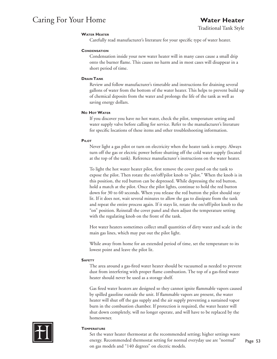# Caring For Your Home **Water Heater**

# **Water Heater**

Carefully read manufacturer's literature for your specific type of water heater.

### **CONDENSATION**

Condensation inside your new water heater will in many cases cause a small drip onto the burner flame. This causes no harm and in most cases will disappear in a short period of time.

### **Drain Tank**

Review and follow manufacturer's timetable and instructions for draining several gallons of water from the bottom of the water heater. This helps to prevent build up of chemical deposits from the water and prolongs the life of the tank as well as saving energy dollars.

### **No Hot Water**

If you discover you have no hot water, check the pilot, temperature setting and water supply valve before calling for service. Refer to the manufacturer's literature for specific locations of these items and other troubleshooting information.

### **Pilot**

Never light a gas pilot or turn on electricity when the heater tank is empty. Always turn off the gas or electric power before shutting off the cold water supply (located at the top of the tank). Reference manufacturer's instructions on the water heater.

To light the hot water heater pilot, first remove the cover panel on the tank to expose the pilot. Then rotate the on/off/pilot knob to "pilot." When the knob is in this position, the red button can be depressed. While depressing the red button, hold a match at the pilot. Once the pilot lights, continue to hold the red button down for 30 to 60 seconds. When you release the red button the pilot should stay lit. If it does not, wait several minutes to allow the gas to dissipate from the tank and repeat the entire process again. If it stays lit, rotate the on/off/pilot knob to the "on" position. Reinstall the cover panel and then adjust the temperature setting with the regulating knob on the front of the tank.

Hot water heaters sometimes collect small quantities of dirty water and scale in the main gas lines, which may put out the pilot light.

While away from home for an extended period of time, set the temperature to its lowest point and leave the pilot lit.

# **Safety**

The area around a gas-fired water heater should be vacuumed as needed to prevent dust from interfering with proper flame combustion. The top of a gas-fired water heater should never be used as a storage shelf.

Gas fired water heaters are designed so they cannot ignite flammable vapors caused by spilled gasoline outside the unit. If flammable vapors are present, the water heater will shut off the gas supply and the air supply preventing a sustained vapor burn in the combustion chamber. If protection is required, the water heater will shut down completely, will no longer operate, and will have to be replaced by the homeowner.



#### **Temperature**

Set the water heater thermostat at the recommended setting; higher settings waste energy. Recommended thermostat setting for normal everyday use are "normal" on gas models and "140 degrees" on electric models.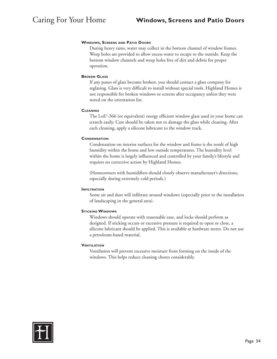### **Windows, Screens and Patio Doors**

During heavy rains, water may collect in the bottom channel of window frames. Weep holes are provided to allow excess water to escape to the outside. Keep the bottom window channels and weep holes free of dirt and debris for proper operation.

#### **Broken Glass**

If any panes of glass become broken, you should contact a glass company for reglazing. Glass is very difficult to install without special tools. Highland Homes is not responsible for broken windows or screens after occupancy unless they were noted on the orientation list.

### **Cleaning**

The LoE3 -366 (or equivalent) energy efficient window glass used in your home can scratch easily. Care should be taken not to damage the glass while cleaning. After each cleaning, apply a silicone lubricant to the window track.

# **CONDENSATION**

Condensation on interior surfaces for the window and frame is the result of high humidity within the home and low outside temperatures. The humidity level within the home is largely influenced and controlled by your family's lifestyle and requires no corrective action by Highland Homes.

(Homeowners with humidifiers should closely observe manufacturer's directions, especially during extremely cold periods.)

#### **INFILTRATION**

Some air and dust will infiltrate around windows (especially prior to the installation of landscaping in the general area).

# **STICKING WINDOWS**

Windows should operate with reasonable ease, and locks should perform as designed. If sticking occurs or excessive pressure is required to open or close, a silicone lubricant should be applied. This is available at hardware stores. Do not use a petroleum-based material.

# **VENTILATION**

Ventilation will prevent excessive moisture from forming on the inside of the windows. This helps reduce cleaning chores considerably.

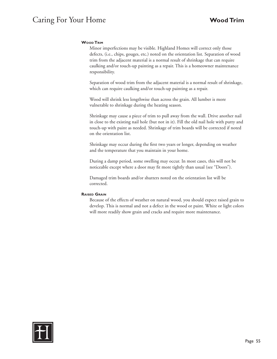# Caring For Your Home **Wood Trim**

# **Wood Trim**

Minor imperfections may be visible. Highland Homes will correct only those defects, (i.e., chips, gouges, etc.) noted on the orientation list. Separation of wood trim from the adjacent material is a normal result of shrinkage that can require caulking and/or touch-up painting as a repair. This is a homeowner maintenance responsibility.

Separation of wood trim from the adjacent material is a normal result of shrinkage, which can require caulking and/or touch-up painting as a repair.

Wood will shrink less lengthwise than across the grain. All lumber is more vulnerable to shrinkage during the heating season.

Shrinkage may cause a piece of trim to pull away from the wall. Drive another nail in close to the existing nail hole (but not in it). Fill the old nail hole with putty and touch-up with paint as needed. Shrinkage of trim boards will be corrected if noted on the orientation list.

Shrinkage may occur during the first two years or longer, depending on weather and the temperature that you maintain in your home.

During a damp period, some swelling may occur. In most cases, this will not be noticeable except where a door may fit more tightly than usual (see "Doors").

Damaged trim boards and/or shutters noted on the orientation list will be corrected.

# **Raised Grain**

Because of the effects of weather on natural wood, you should expect raised grain to develop. This is normal and not a defect in the wood or paint. White or light colors will more readily show grain and cracks and require more maintenance.